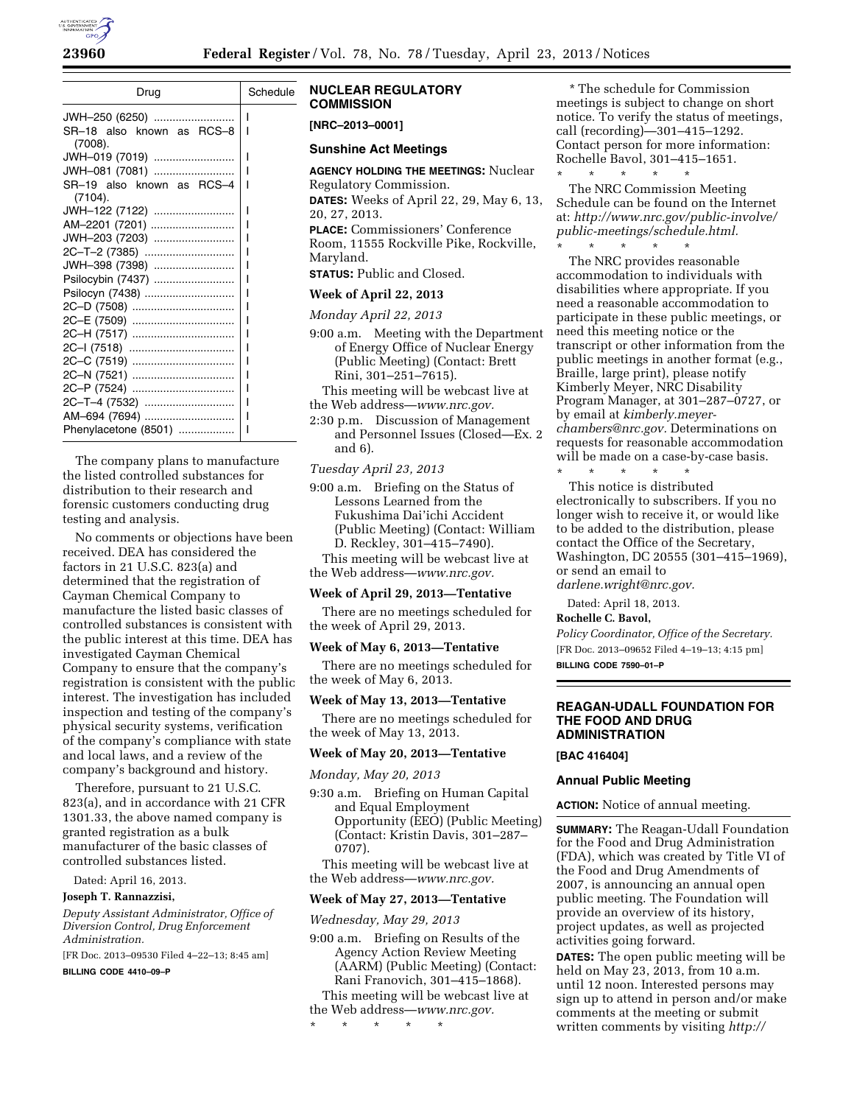

| Drug                                                   | Schedule |
|--------------------------------------------------------|----------|
| JWH-250 (6250)<br>SR-18 also known as RCS-8<br>(7008). | ı<br>ı   |
| JWH-019 (7019)                                         |          |
| JWH-081 (7081)                                         |          |
| SR-19 also known as RCS-4<br>(7104).                   |          |
| JWH-122 (7122)                                         |          |
| AM-2201 (7201)                                         | ı        |
| JWH-203 (7203)                                         | ı        |
| 2C-T-2 (7385)                                          |          |
| JWH-398 (7398)                                         |          |
| Psilocybin (7437)                                      |          |
| Psilocyn (7438)                                        | ı        |
| 2C-D (7508)                                            |          |
| 2C-E (7509)                                            |          |
| 2C-H (7517)                                            |          |
|                                                        |          |
| 2C-C (7519)                                            |          |
| 2C-N (7521)                                            |          |
| 2C-P (7524)                                            |          |
| 2C-T-4 (7532)                                          |          |
| AM-694 (7694)                                          |          |
| Phenylacetone (8501)                                   | ı        |

The company plans to manufacture the listed controlled substances for distribution to their research and forensic customers conducting drug testing and analysis.

No comments or objections have been received. DEA has considered the factors in 21 U.S.C. 823(a) and determined that the registration of Cayman Chemical Company to manufacture the listed basic classes of controlled substances is consistent with the public interest at this time. DEA has investigated Cayman Chemical Company to ensure that the company's registration is consistent with the public interest. The investigation has included inspection and testing of the company's physical security systems, verification of the company's compliance with state and local laws, and a review of the company's background and history.

Therefore, pursuant to 21 U.S.C. 823(a), and in accordance with 21 CFR 1301.33, the above named company is granted registration as a bulk manufacturer of the basic classes of controlled substances listed.

Dated: April 16, 2013.

# **Joseph T. Rannazzisi,**

*Deputy Assistant Administrator, Office of Diversion Control, Drug Enforcement Administration.* 

[FR Doc. 2013–09530 Filed 4–22–13; 8:45 am]

**BILLING CODE 4410–09–P** 

### **NUCLEAR REGULATORY COMMISSION**

**[NRC–2013–0001]** 

#### **Sunshine Act Meetings**

**AGENCY HOLDING THE MEETINGS:** Nuclear Regulatory Commission. **DATES:** Weeks of April 22, 29, May 6, 13, 20, 27, 2013. **PLACE:** Commissioners' Conference Room, 11555 Rockville Pike, Rockville, Maryland.

**STATUS:** Public and Closed.

#### **Week of April 22, 2013**

*Monday April 22, 2013* 

- 9:00 a.m. Meeting with the Department of Energy Office of Nuclear Energy (Public Meeting) (Contact: Brett Rini, 301–251–7615).
- This meeting will be webcast live at the Web address—*[www.nrc.gov.](http://www.nrc.gov)*
- 2:30 p.m. Discussion of Management and Personnel Issues (Closed—Ex. 2 and 6).

#### *Tuesday April 23, 2013*

9:00 a.m. Briefing on the Status of Lessons Learned from the Fukushima Dai'ichi Accident (Public Meeting) (Contact: William D. Reckley, 301–415–7490).

This meeting will be webcast live at the Web address—*[www.nrc.gov.](http://www.nrc.gov)* 

#### **Week of April 29, 2013—Tentative**

There are no meetings scheduled for the week of April 29, 2013.

#### **Week of May 6, 2013—Tentative**

There are no meetings scheduled for the week of May 6, 2013.

#### **Week of May 13, 2013—Tentative**

There are no meetings scheduled for the week of May 13, 2013.

#### **Week of May 20, 2013—Tentative**

*Monday, May 20, 2013* 

9:30 a.m. Briefing on Human Capital and Equal Employment Opportunity (EEO) (Public Meeting) (Contact: Kristin Davis, 301–287– 0707).

This meeting will be webcast live at the Web address—*[www.nrc.gov.](http://www.nrc.gov)* 

### **Week of May 27, 2013—Tentative**

#### *Wednesday, May 29, 2013*

9:00 a.m. Briefing on Results of the Agency Action Review Meeting (AARM) (Public Meeting) (Contact: Rani Franovich, 301–415–1868). This meeting will be webcast live at the Web address—*[www.nrc.gov.](http://www.nrc.gov)* 

\* \* \* \* \*

\* The schedule for Commission meetings is subject to change on short notice. To verify the status of meetings, call (recording)—301–415–1292. Contact person for more information: Rochelle Bavol, 301–415–1651.

\* \* \* \* \* The NRC Commission Meeting Schedule can be found on the Internet at: *[http://www.nrc.gov/public-involve/](http://www.nrc.gov/public-involve/public-meetings/schedule.html) [public-meetings/schedule.html.](http://www.nrc.gov/public-involve/public-meetings/schedule.html)*  \* \* \* \* \*

The NRC provides reasonable accommodation to individuals with disabilities where appropriate. If you need a reasonable accommodation to participate in these public meetings, or need this meeting notice or the transcript or other information from the public meetings in another format (e.g., Braille, large print), please notify Kimberly Meyer, NRC Disability Program Manager, at 301–287–0727, or by email at *[kimberly.meyer](mailto:kimberly.meyer-chambers@nrc.gov)[chambers@nrc.gov.](mailto:kimberly.meyer-chambers@nrc.gov)* Determinations on requests for reasonable accommodation will be made on a case-by-case basis.

\* \* \* \* \* This notice is distributed electronically to subscribers. If you no longer wish to receive it, or would like to be added to the distribution, please contact the Office of the Secretary, Washington, DC 20555 (301–415–1969), or send an email to *[darlene.wright@nrc.gov.](mailto:darlene.wright@nrc.gov)* 

Dated: April 18, 2013.

### **Rochelle C. Bavol,**

*Policy Coordinator, Office of the Secretary.*  [FR Doc. 2013–09652 Filed 4–19–13; 4:15 pm] **BILLING CODE 7590–01–P** 

# **REAGAN-UDALL FOUNDATION FOR THE FOOD AND DRUG ADMINISTRATION**

## **[BAC 416404]**

## **Annual Public Meeting**

**ACTION:** Notice of annual meeting.

**SUMMARY:** The Reagan-Udall Foundation for the Food and Drug Administration (FDA), which was created by Title VI of the Food and Drug Amendments of 2007, is announcing an annual open public meeting. The Foundation will provide an overview of its history, project updates, as well as projected activities going forward.

**DATES:** The open public meeting will be held on May 23, 2013, from 10 a.m. until 12 noon. Interested persons may sign up to attend in person and/or make comments at the meeting or submit written comments by visiting *[http://](http://www.ReaganUdall.org)*